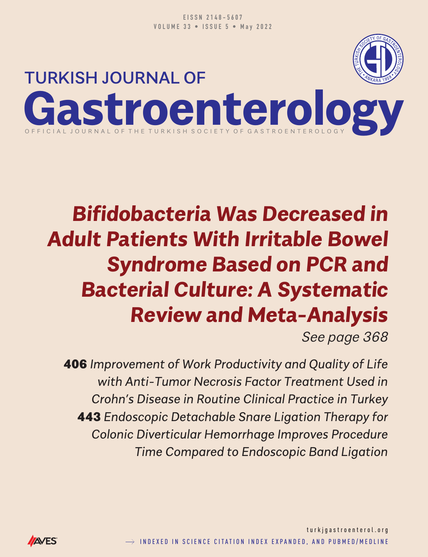

# **Bifidobacteria Was Decreased in Adult Patients With Irritable Bowel Syndrome Based on PCR and Bacterial Culture: A Systematic Review and Meta-Analysis**

*See page 368*

406 *Improvement of Work Productivity and Quality of Life with Anti-Tumor Necrosis Factor Treatment Used in Crohn's Disease in Routine Clinical Practice in Turkey* 443 *Endoscopic Detachable Snare Ligation Therapy for Colonic Diverticular Hemorrhage Improves Procedure Time Compared to Endoscopic Band Ligation*

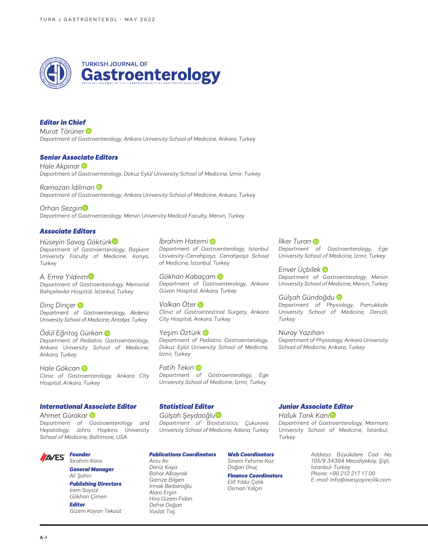

### *Editor in Chief*

*Murat Törüner Department of Gastroenterology, Ankara University School of Medicine, Ankara, Turkey*

#### *Senior Associate Editors*

*Hale Akpınar Department of Gastroenterology, Dokuz Eylül University School of Medicine, İzmir, Turkey*

*Ramazan İdilman Department of Gastroenterology, Ankara University School of Medicine, Ankara, Turkey*

*Orhan Sezgin Department of Gastroenterology, Mersin University Medical Faculty, Mersin, Turkey*

#### *Hüseyin Savaş Göktür[k](https://orcid.org/0000-0003-2904-0471) Department of Gastroenterology, Başkent University Faculty of Medicine, Konya, Turkey Associate Editors*

*A. Emre Yıldırı[m](https://orcid.org/0000-0002-4386-9297) Department of Gastroenterology, Memorial Bahçelievler Hospital, İstanbul, Turkey*

*Dinç Dinçer Department of Gastroenterology, Akdeniz University School of Medicine, Antalya, Turkey*

#### *Ödül Eğritaş Gürkan Department of Pediatric Gastroenterology, Ankara University School of Medicine, Ankara, Turkey*

*Hale Gökcan Clinic of Gastroenterology, Ankara City Hospital, Ankara, Turkey*

#### *International Associate Editor*

*Ahmet Gürakar Department of Gastroenterology and Hepatology, Johns Hopkins University School of Medicine, Baltimore, USA*

#### *Founder* **AVES**

*İbrahim Kara General Manager*

*Ali Şahin Publishing Directors İrem Soysal Gökhan Çimen*

*Editor Gizem Kayan Tekaüt*

## *İbrahim Hatemi*

*Department of Gastroenterology, İstanbul University-Cerrahpaşa, Cerrahpaşa School of Medicine, İstanbul, Turkey*

*Gökhan Kabaça[m](https://orcid.org/0000-0002-2099-9697)  Department of Gastroenterology, Ankara Güven Hospital, Ankara, Turkey*

*Volkan Öter Clinic of Gastrointestinal Surgery, Ankara City Hospital, Ankara, Turkey*

*Yeşim Öztürk Department of Pediatric Gastroenterology, Dokuz Eylül University School of Medicine, İzmir, Turkey*

*Fatih Tekin Department of Gastroenterology, Ege University School of Medicine, İzmir, Turkey*

## *Statistical Editor*

*Gülşah Şeydaoğlu Department of Biostatistics, Çukurova University School of Medicine, Adana, Turkey*

#### *Publications Coordinators*

*Arzu Arı Deniz Kaya Bahar Albayrak Gamze Bilgen Irmak Berberoğlu Alara Ergin Hira Gizem Fidan Defne Doğan Vuslat Taş*

*Web Coordinators Sinem Fehime Koz Doğan Oruç*

*Finance Coordinators Elif Yıldız Çelik Osman Yalçın*

*İlker Tura[n](https://orcid.org/0000-0001-8998-1965)  Department of Gastroenterology, Ege University School of Medicine, İzmir, Turkey*

*Enver Üçbilek Department of Gastroenterology, Mersin University School of Medicine, Mersin, Turkey*

*Gülşah Gündoğdu Department of Physiology, Pamukkale University School of Medicine, Denizli, Turkey*

*Nuray Yazıhan Department of Physiology, Ankara University School of Medicine, Ankara, Turkey*

#### *Junior Associate Editor*

*Haluk Tarık Kan[i](https://orcid.org/0000-0003-0042-9256) Department of Gastroenterology, Marmara University School of Medicine, İstanbul, Turkey*

> *Address: Büyükdere Cad. No: 105/9 34394 Mecidiyeköy, Şişli, İstanbul-Turkey Phone: +90 212 217 17 00 E-mail: info@avesyayincilik.com*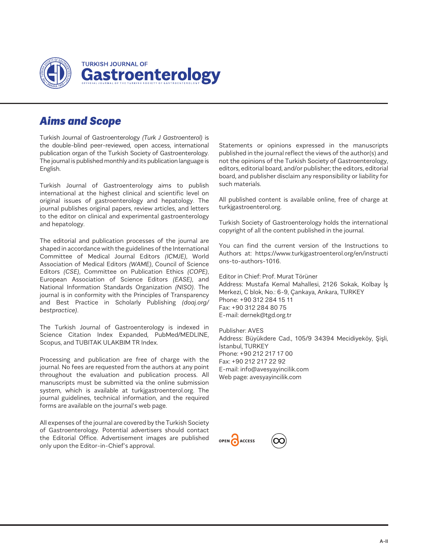

# *Aims and Scope*

Turkish Journal of Gastroenterology *(Turk J Gastroenterol)* is the double-blind peer-reviewed, open access, international publication organ of the Turkish Society of Gastroenterology. The journal is published monthly and its publication language is English.

Turkish Journal of Gastroenterology aims to publish international at the highest clinical and scientific level on original issues of gastroenterology and hepatology. The journal publishes original papers, review articles, and letters to the editor on clinical and experimental gastroenterology and hepatology.

The editorial and publication processes of the journal are shaped in accordance with the guidelines of the International Committee of Medical Journal Editors *(ICMJE)*, World Association of Medical Editors *(WAME)*, Council of Science Editors *(CSE)*, Committee on Publication Ethics *(COPE)*, European Association of Science Editors *(EASE)*, and National Information Standards Organization *(NISO)*. The journal is in conformity with the Principles of Transparency and Best Practice in Scholarly Publishing *(doaj.org/ bestpractice)*.

The Turkish Journal of Gastroenterology is indexed in Science Citation Index Expanded, PubMed/MEDLINE, Scopus, and TUBITAK ULAKBIM TR Index.

Processing and publication are free of charge with the journal. No fees are requested from the authors at any point throughout the evaluation and publication process. All manuscripts must be submitted via the online submission system, which is available at turkjgastroenterol.org. The journal guidelines, technical information, and the required forms are available on the journal's web page.

All expenses of the journal are covered by the Turkish Society of Gastroenterology. Potential advertisers should contact the Editorial Office. Advertisement images are published only upon the Editor-in-Chief's approval.

Statements or opinions expressed in the manuscripts published in the journal reflect the views of the author(s) and not the opinions of the Turkish Society of Gastroenterology, editors, editorial board, and/or publisher; the editors, editorial board, and publisher disclaim any responsibility or liability for such materials.

All published content is available online, free of charge at turkjgastroenterol.org.

Turkish Society of Gastroenterology holds the international copyright of all the content published in the journal.

You can find the current version of the Instructions to Authors at: https://www.turkjgastroenterol.org/en/instructi ons-to-authors-1016.

Editor in Chief: Prof. Murat Törüner Address: Mustafa Kemal Mahallesi, 2126 Sokak, Kolbay İş Merkezi, C blok, No.: 6-9, Çankaya, Ankara, TURKEY Phone: +90 312 284 15 11 Fax: +90 312 284 80 75 E-mail: dernek@tgd.org.tr

Publisher: AVES Address: Büyükdere Cad., 105/9 34394 Mecidiyeköy, Şişli, İstanbul, TURKEY Phone: +90 212 217 17 00 Fax: +90 212 217 22 92 E-mail: info@avesyayincilik.com Web page: avesyayincilik.com